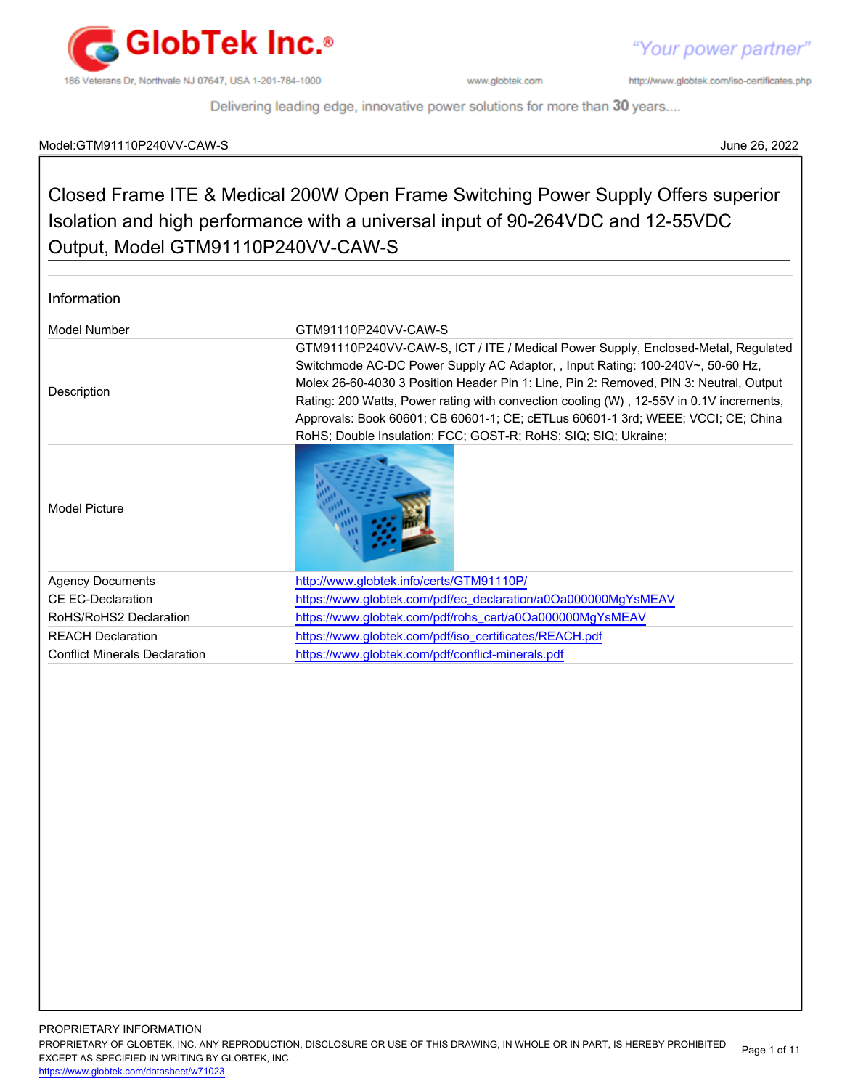

"Your power partner"

http://www.globtek.com/iso-certificates.php

Delivering leading edge, innovative power solutions for more than 30 years....

### Model:GTM91110P240VV-CAW-S June 26, 2022

### Closed Frame ITE & Medical 200W Open Frame Switching Power Supply Offers superior Isolation and high performance with a universal input of 90-264VDC and 12-55VDC Output, Model GTM91110P240VV-CAW-S

| Information                          |                                                                                                                                                                                                                                                                                                                                                                                                                                                                                                                |
|--------------------------------------|----------------------------------------------------------------------------------------------------------------------------------------------------------------------------------------------------------------------------------------------------------------------------------------------------------------------------------------------------------------------------------------------------------------------------------------------------------------------------------------------------------------|
| Model Number                         | GTM91110P240VV-CAW-S                                                                                                                                                                                                                                                                                                                                                                                                                                                                                           |
| Description                          | GTM91110P240VV-CAW-S, ICT / ITE / Medical Power Supply, Enclosed-Metal, Regulated<br>Switchmode AC-DC Power Supply AC Adaptor, , Input Rating: 100-240V~, 50-60 Hz,<br>Molex 26-60-4030 3 Position Header Pin 1: Line, Pin 2: Removed, PIN 3: Neutral, Output<br>Rating: 200 Watts, Power rating with convection cooling (W), 12-55V in 0.1V increments,<br>Approvals: Book 60601; CB 60601-1; CE; cETLus 60601-1 3rd; WEEE; VCCI; CE; China<br>RoHS; Double Insulation; FCC; GOST-R; RoHS; SIQ; SIQ; Ukraine; |
| Model Picture                        |                                                                                                                                                                                                                                                                                                                                                                                                                                                                                                                |
| <b>Agency Documents</b>              | http://www.globtek.info/certs/GTM91110P/                                                                                                                                                                                                                                                                                                                                                                                                                                                                       |
| CF FC-Declaration                    | https://www.globtek.com/pdf/ec_declaration/a0Oa000000MgYsMEAV                                                                                                                                                                                                                                                                                                                                                                                                                                                  |
| RoHS/RoHS2 Declaration               | https://www.globtek.com/pdf/rohs_cert/a0Oa000000MgYsMEAV                                                                                                                                                                                                                                                                                                                                                                                                                                                       |
| <b>REACH Declaration</b>             | https://www.globtek.com/pdf/iso_certificates/REACH.pdf                                                                                                                                                                                                                                                                                                                                                                                                                                                         |
| <b>Conflict Minerals Declaration</b> | https://www.globtek.com/pdf/conflict-minerals.pdf                                                                                                                                                                                                                                                                                                                                                                                                                                                              |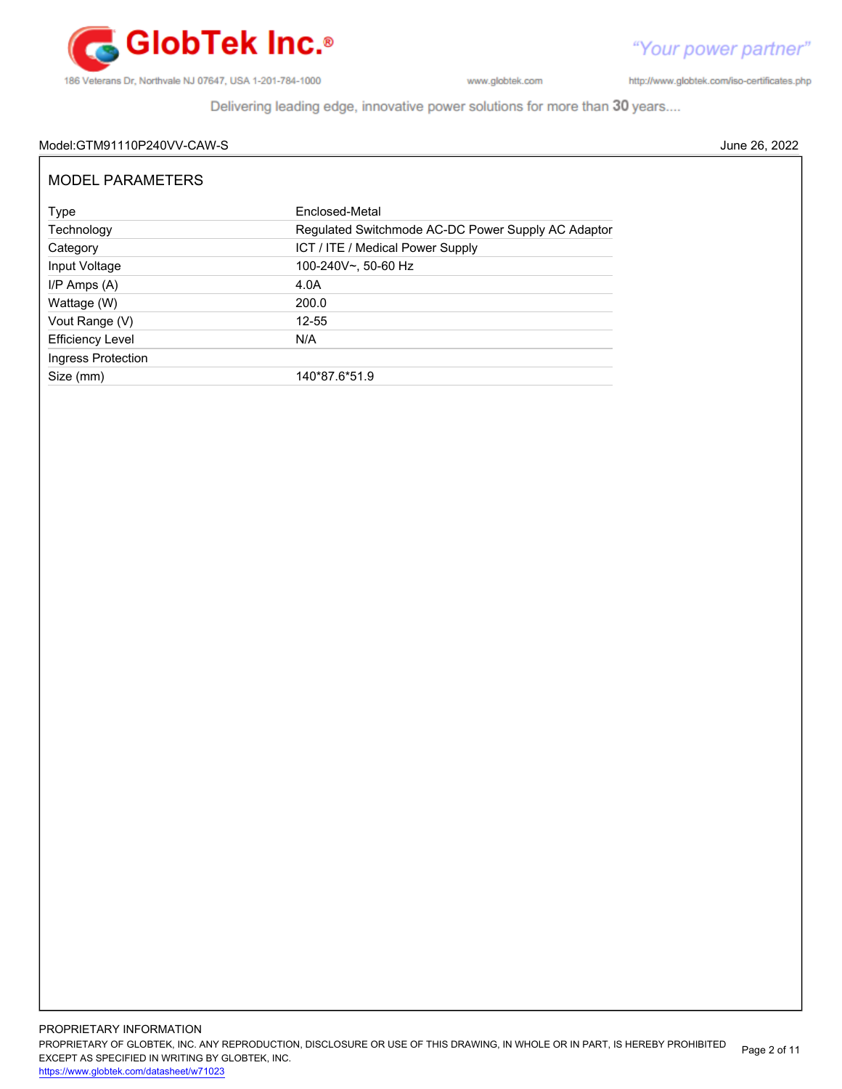

http://www.globtek.com/iso-certificates.php

Delivering leading edge, innovative power solutions for more than 30 years....

### Model:GTM91110P240VV-CAW-S June 26, 2022

| MODEL PARAMETERS        |                                                    |
|-------------------------|----------------------------------------------------|
| Type                    | Enclosed-Metal                                     |
| Technology              | Regulated Switchmode AC-DC Power Supply AC Adaptor |
| Category                | ICT / ITE / Medical Power Supply                   |
| Input Voltage           | 100-240V~, 50-60 Hz                                |
| $I/P$ Amps $(A)$        | 4.0A                                               |
| Wattage (W)             | 200.0                                              |
| Vout Range (V)          | 12-55                                              |
| <b>Efficiency Level</b> | N/A                                                |
| Ingress Protection      |                                                    |
| Size (mm)               | 140*87.6*51.9                                      |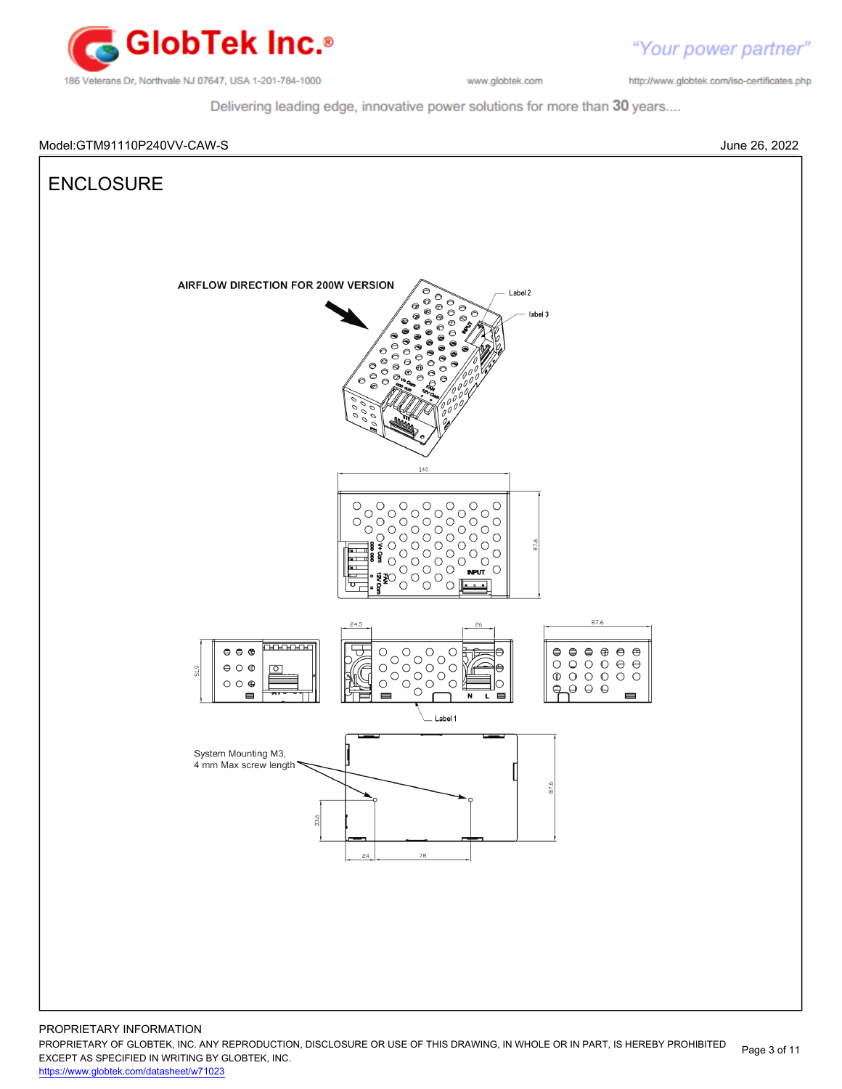

"Your power partner" http://www.globtek.com/iso-certificates.php

Delivering leading edge, innovative power solutions for more than 30 years....

### Model:GTM91110P240VV-CAW-S June 26, 2022



<https://www.globtek.com/datasheet/w71023>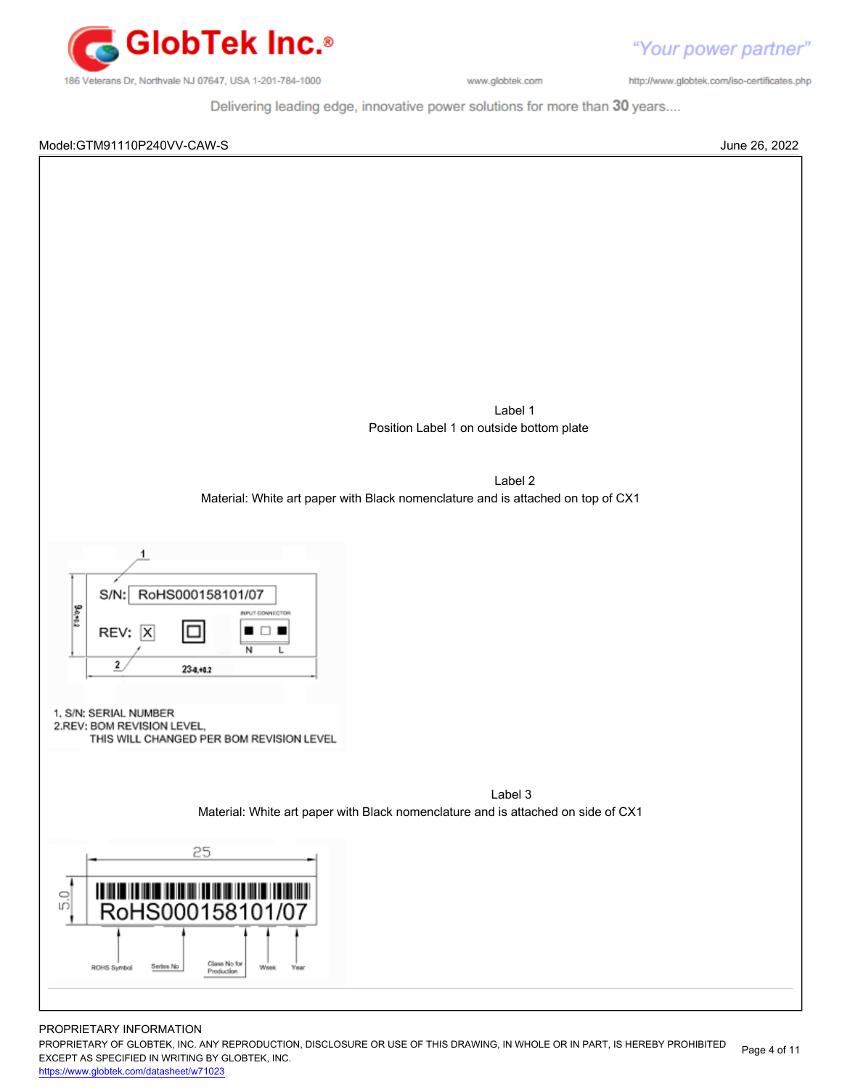

http://www.globtek.com/iso-certificates.php

Delivering leading edge, innovative power solutions for more than 30 years....

### Model:GTM91110P240VV-CAW-S June 26, 2022



#### PROPRIETARY INFORMATION

PROPRIETARY OF GLOBTEK, INC. ANY REPRODUCTION, DISCLOSURE OR USE OF THIS DRAWING, IN WHOLE OR IN PART, IS HEREBY PROHIBITED EXCEPT AS SPECIFIED IN WRITING BY GLOBTEK, INC. Page 4 of 11

<https://www.globtek.com/datasheet/w71023>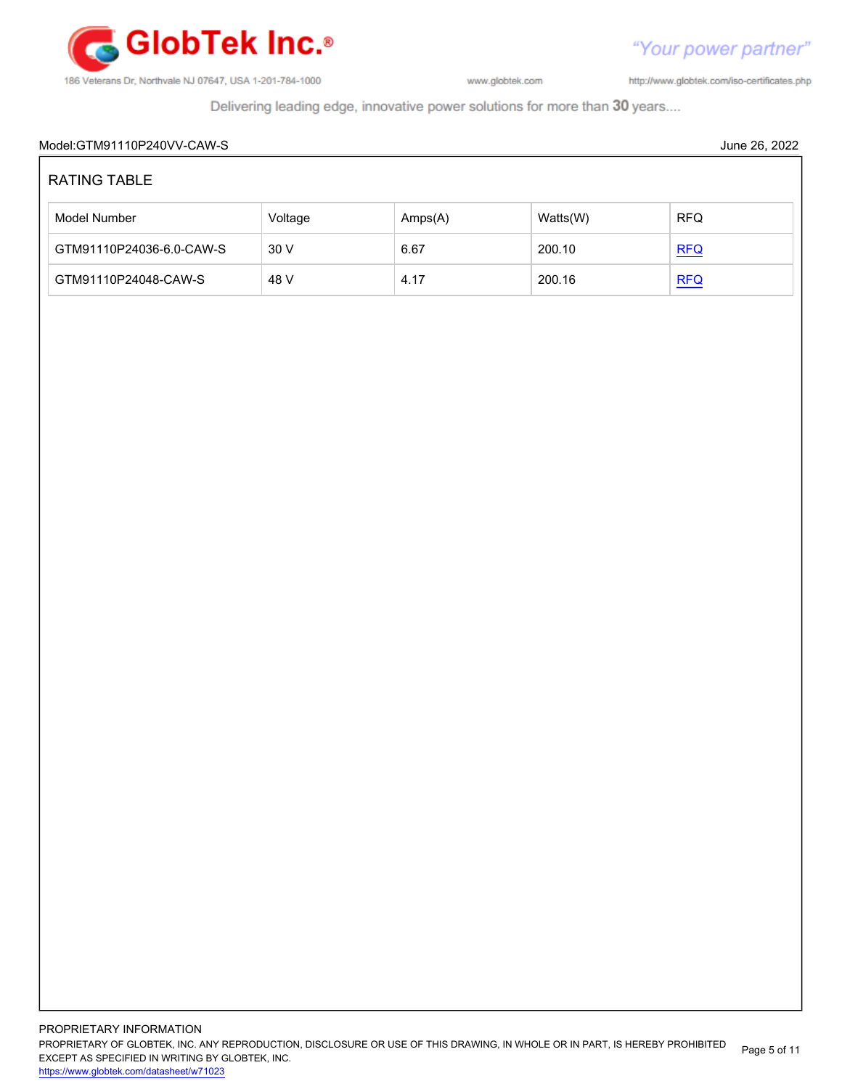

http://www.globtek.com/iso-certificates.php

Delivering leading edge, innovative power solutions for more than 30 years....

## Model:GTM91110P240VV-CAW-S June 26, 2022 RATING TABLE Model Number **Amps(A)** Watts(W) RFQ GTM91110P24036-6.0-CAW-S 30 V 6.67 200.10 [RFQ](https://en.globtek.com/model/id/a0Oa000000MgYsMEAV) GTM91110P24048-CAW-S 48 V 4.17 200.16 [RFQ](https://en.globtek.com/model/id/a0Oa000000MgYsMEAV)

PROPRIETARY INFORMATION PROPRIETARY OF GLOBTEK, INC. ANY REPRODUCTION, DISCLOSURE OR USE OF THIS DRAWING, IN WHOLE OR IN PART, IS HEREBY PROHIBITED EXCEPT AS SPECIFIED IN WRITING BY GLOBTEK, INC. <https://www.globtek.com/datasheet/w71023> Page 5 of 11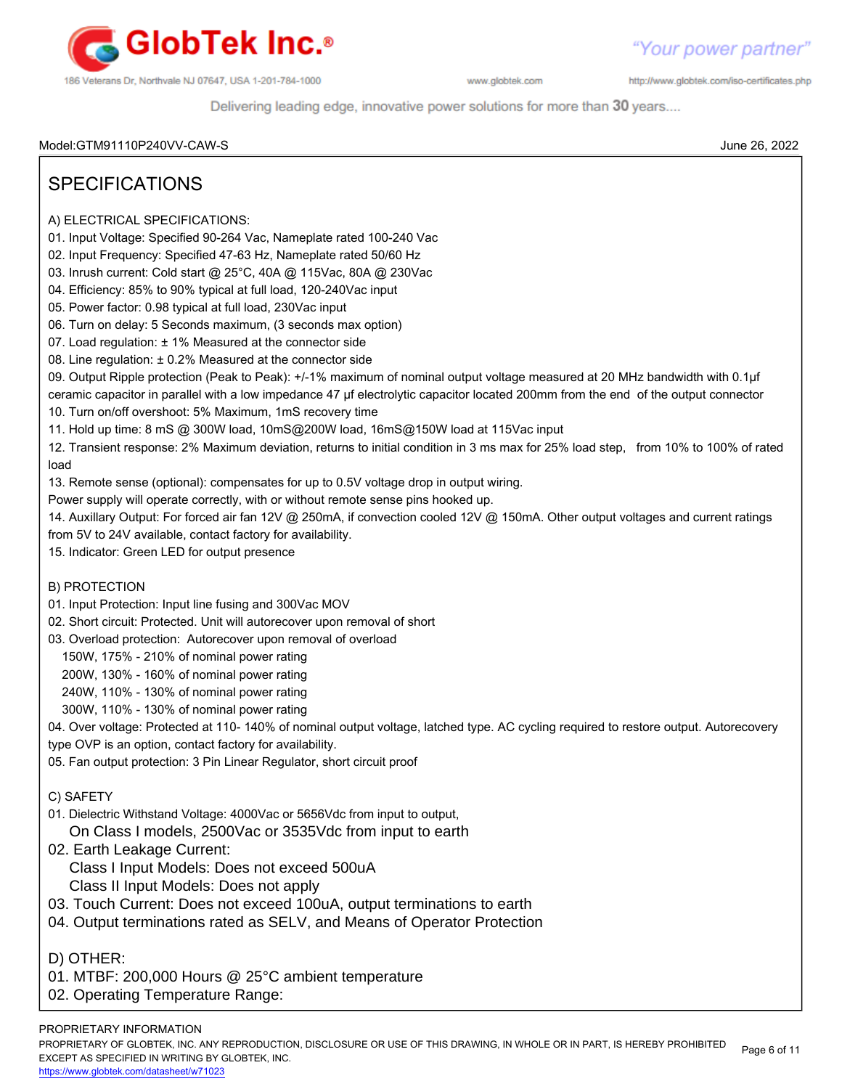

http://www.globtek.com/iso-certificates.php

Delivering leading edge, innovative power solutions for more than 30 years....

Model:GTM91110P240VV-CAW-S June 26, 2022

## SPECIFICATIONS

- A) ELECTRICAL SPECIFICATIONS:
- 01. Input Voltage: Specified 90-264 Vac, Nameplate rated 100-240 Vac
- 02. Input Frequency: Specified 47-63 Hz, Nameplate rated 50/60 Hz
- 03. Inrush current: Cold start @ 25°C, 40A @ 115Vac, 80A @ 230Vac
- 04. Efficiency: 85% to 90% typical at full load, 120-240Vac input
- 05. Power factor: 0.98 typical at full load, 230Vac input
- 06. Turn on delay: 5 Seconds maximum, (3 seconds max option)
- 07. Load regulation: ± 1% Measured at the connector side
- 08. Line regulation: ± 0.2% Measured at the connector side

09. Output Ripple protection (Peak to Peak): +/-1% maximum of nominal output voltage measured at 20 MHz bandwidth with 0.1µf ceramic capacitor in parallel with a low impedance 47 µf electrolytic capacitor located 200mm from the end of the output connector

- 10. Turn on/off overshoot: 5% Maximum, 1mS recovery time
- 11. Hold up time: 8 mS @ 300W load, 10mS@200W load, 16mS@150W load at 115Vac input

12. Transient response: 2% Maximum deviation, returns to initial condition in 3 ms max for 25% load step, from 10% to 100% of rated load

13. Remote sense (optional): compensates for up to 0.5V voltage drop in output wiring.

Power supply will operate correctly, with or without remote sense pins hooked up.

14. Auxillary Output: For forced air fan 12V @ 250mA, if convection cooled 12V @ 150mA. Other output voltages and current ratings from 5V to 24V available, contact factory for availability.

15. Indicator: Green LED for output presence

### B) PROTECTION

- 01. Input Protection: Input line fusing and 300Vac MOV
- 02. Short circuit: Protected. Unit will autorecover upon removal of short
- 03. Overload protection: Autorecover upon removal of overload
	- 150W, 175% 210% of nominal power rating
	- 200W, 130% 160% of nominal power rating
	- 240W, 110% 130% of nominal power rating
	- 300W, 110% 130% of nominal power rating

04. Over voltage: Protected at 110- 140% of nominal output voltage, latched type. AC cycling required to restore output. Autorecovery

- type OVP is an option, contact factory for availability.
- 05. Fan output protection: 3 Pin Linear Regulator, short circuit proof
- C) SAFETY
- 01. Dielectric Withstand Voltage: 4000Vac or 5656Vdc from input to output, On Class I models, 2500Vac or 3535Vdc from input to earth
- 02. Earth Leakage Current:
	- Class I Input Models: Does not exceed 500uA
	- Class II Input Models: Does not apply
- 03. Touch Current: Does not exceed 100uA, output terminations to earth
- 04. Output terminations rated as SELV, and Means of Operator Protection

D) OTHER:

- 01. MTBF: 200,000 Hours @ 25°C ambient temperature
- 02. Operating Temperature Range:

PROPRIETARY INFORMATION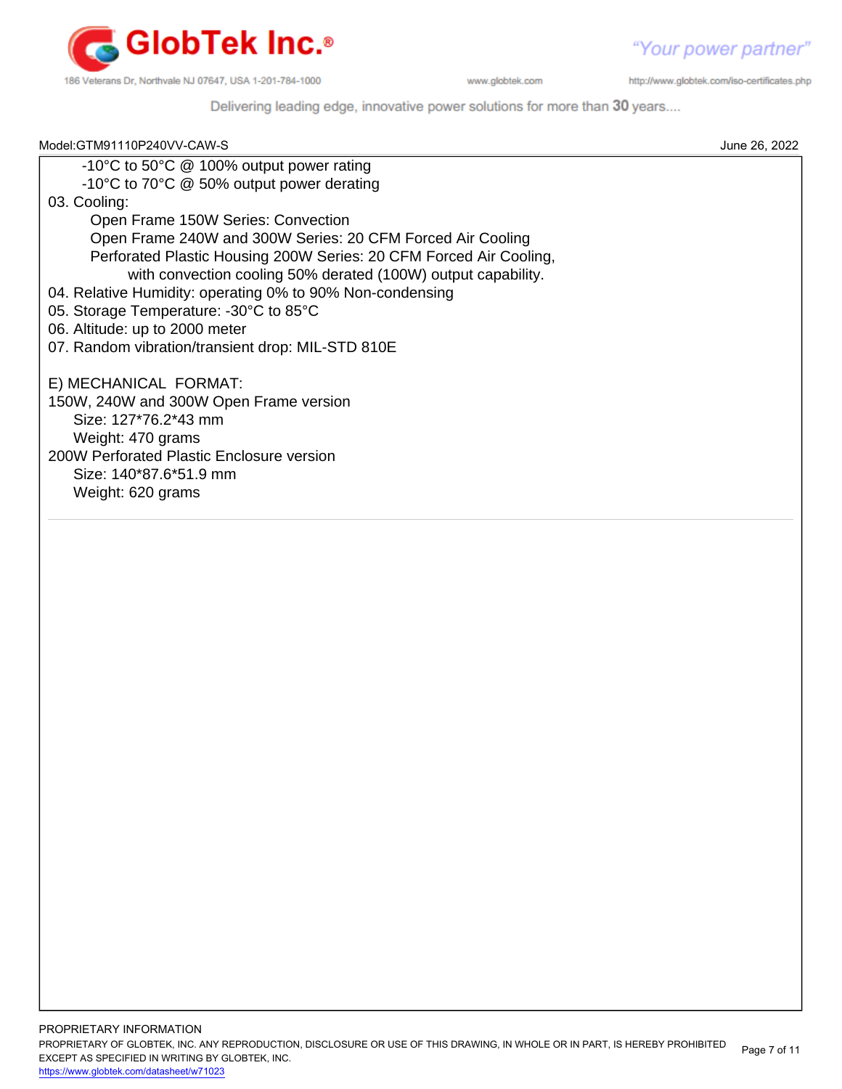

http://www.globtek.com/iso-certificates.php

Delivering leading edge, innovative power solutions for more than 30 years....

| Model:GTM91110P240VV-CAW-S                                         | June 26, 2022 |
|--------------------------------------------------------------------|---------------|
| -10°C to 50°C @ 100% output power rating                           |               |
| -10°C to 70°C @ 50% output power derating                          |               |
| 03. Cooling:                                                       |               |
| Open Frame 150W Series: Convection                                 |               |
| Open Frame 240W and 300W Series: 20 CFM Forced Air Cooling         |               |
| Perforated Plastic Housing 200W Series: 20 CFM Forced Air Cooling, |               |
| with convection cooling 50% derated (100W) output capability.      |               |
| 04. Relative Humidity: operating 0% to 90% Non-condensing          |               |
| 05. Storage Temperature: -30°C to 85°C                             |               |
| 06. Altitude: up to 2000 meter                                     |               |
| 07. Random vibration/transient drop: MIL-STD 810E                  |               |
| E) MECHANICAL FORMAT:                                              |               |
| 150W, 240W and 300W Open Frame version                             |               |
| Size: 127*76.2*43 mm                                               |               |
| Weight: 470 grams                                                  |               |
| 200W Perforated Plastic Enclosure version                          |               |
| Size: 140*87.6*51.9 mm                                             |               |
| Weight: 620 grams                                                  |               |
|                                                                    |               |
|                                                                    |               |
|                                                                    |               |
|                                                                    |               |
|                                                                    |               |
|                                                                    |               |
|                                                                    |               |
|                                                                    |               |
|                                                                    |               |
|                                                                    |               |
|                                                                    |               |
|                                                                    |               |
|                                                                    |               |
|                                                                    |               |
|                                                                    |               |
|                                                                    |               |
|                                                                    |               |
|                                                                    |               |
|                                                                    |               |
|                                                                    |               |
|                                                                    |               |
|                                                                    |               |
|                                                                    |               |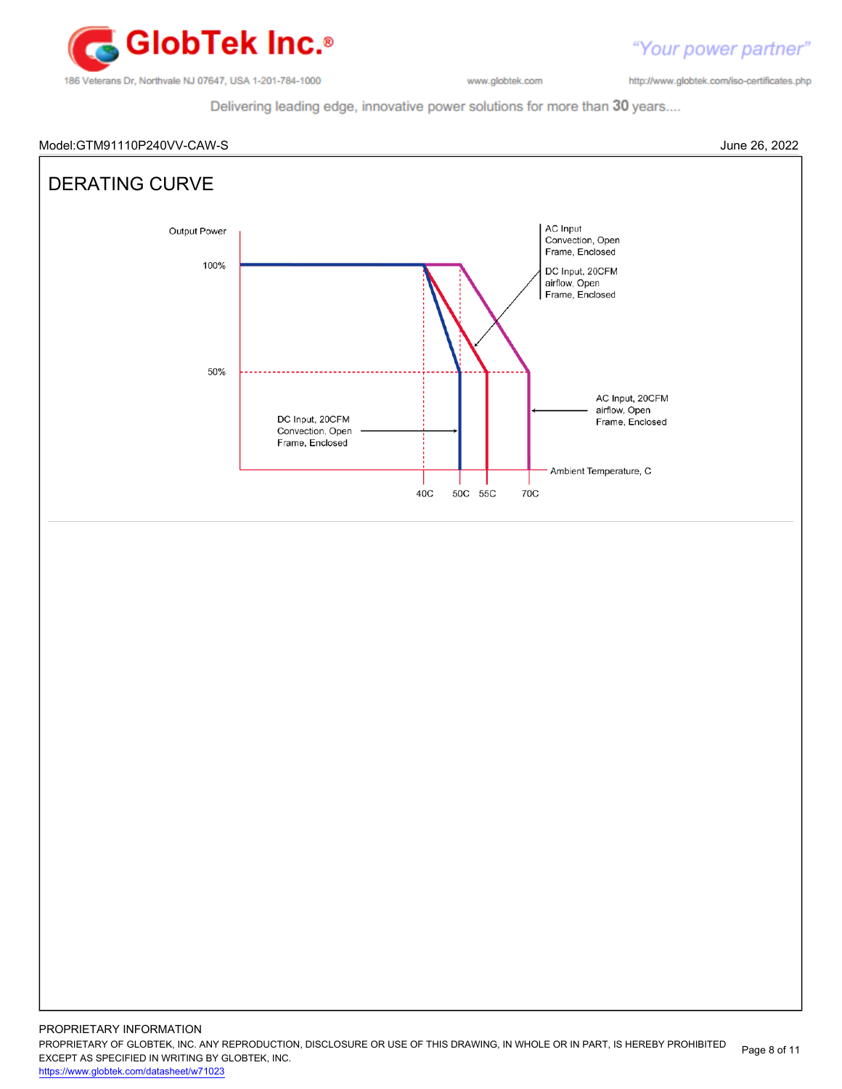

http://www.globtek.com/iso-certificates.php

"Your power partner"

Delivering leading edge, innovative power solutions for more than 30 years....

Model:GTM91110P240VV-CAW-S June 26, 2022



PROPRIETARY OF GLOBTEK, INC. ANY REPRODUCTION, DISCLOSURE OR USE OF THIS DRAWING, IN WHOLE OR IN PART, IS HEREBY PROHIBITED EXCEPT AS SPECIFIED IN WRITING BY GLOBTEK, INC. Page 8 of 11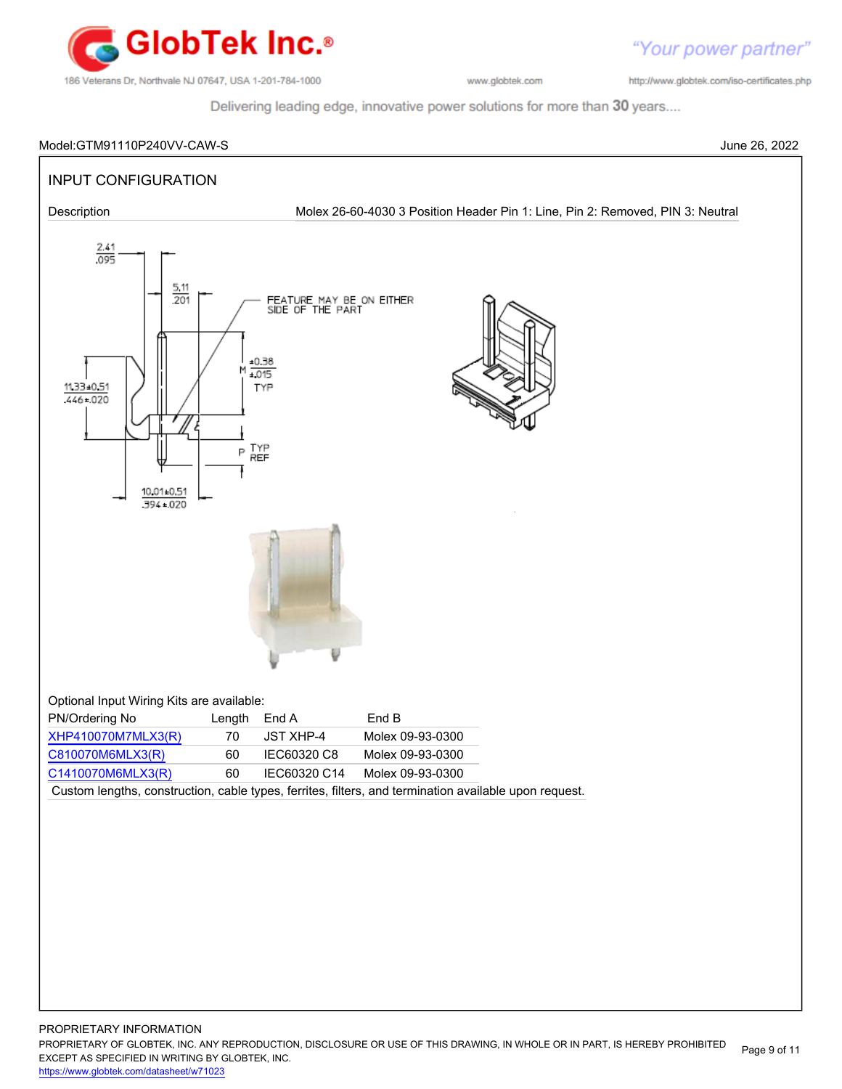

"Your power partner" http://www.globtek.com/iso-certificates.php

Delivering leading edge, innovative power solutions for more than 30 years....

# Model:GTM91110P240VV-CAW-S June 26, 2022 INPUT CONFIGURATION Description Molex 26-60-4030 3 Position Header Pin 1: Line, Pin 2: Removed, PIN 3: Neutral  $\frac{2.41}{.095}$  $\frac{5.11}{201}$ FEATURE MAY BE ON EITHER<br>SIDE OF THE PART  $±0.38$  $+015$ 11.33.0.51 TYP  $446 - 020$ TYP<br>REF P 10.01±0.51  $394 - 020$ Optional Input Wiring Kits are available: PN/Ordering No Length End A End B [XHP410070M7MLX3\(R\)](http://globtek.force.com/spec?id=01t0c000008pplQ) 70 JST XHP-4 Molex 09-93-0300 [C810070M6MLX3\(R\)](http://globtek.force.com/spec?id=01t0c000008qeGv) 60 IEC60320 C8 Molex 09-93-0300 [C1410070M6MLX3\(R\)](http://globtek.force.com/spec?id=01t0c000008qi6w) 60 IEC60320 C14 Molex 09-93-0300 Custom lengths, construction, cable types, ferrites, filters, and termination available upon request.

PROPRIETARY INFORMATION PROPRIETARY OF GLOBTEK, INC. ANY REPRODUCTION, DISCLOSURE OR USE OF THIS DRAWING, IN WHOLE OR IN PART, IS HEREBY PROHIBITED EXCEPT AS SPECIFIED IN WRITING BY GLOBTEK, INC. <https://www.globtek.com/datasheet/w71023> Page 9 of 11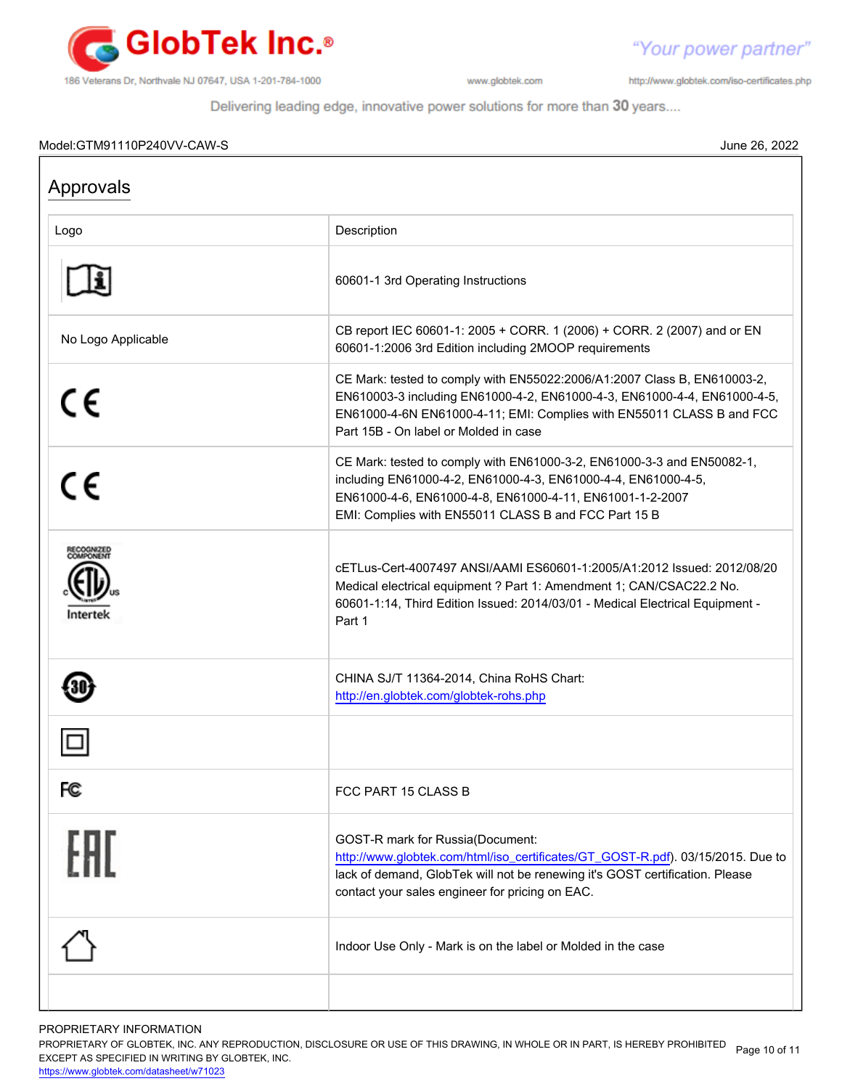

"Your power partner" http://www.globtek.com/iso-certificates.php

Delivering leading edge, innovative power solutions for more than 30 years....

### Model:GTM91110P240VV-CAW-S June 26, 2022

| Approvals          |                                                                                                                                                                                                                                                                        |
|--------------------|------------------------------------------------------------------------------------------------------------------------------------------------------------------------------------------------------------------------------------------------------------------------|
| Logo               | Description                                                                                                                                                                                                                                                            |
|                    | 60601-1 3rd Operating Instructions                                                                                                                                                                                                                                     |
| No Logo Applicable | CB report IEC 60601-1: 2005 + CORR. 1 (2006) + CORR. 2 (2007) and or EN<br>60601-1:2006 3rd Edition including 2MOOP requirements                                                                                                                                       |
| CE                 | CE Mark: tested to comply with EN55022:2006/A1:2007 Class B, EN610003-2,<br>EN610003-3 including EN61000-4-2, EN61000-4-3, EN61000-4-4, EN61000-4-5,<br>EN61000-4-6N EN61000-4-11; EMI: Complies with EN55011 CLASS B and FCC<br>Part 15B - On label or Molded in case |
| CE                 | CE Mark: tested to comply with EN61000-3-2, EN61000-3-3 and EN50082-1,<br>including EN61000-4-2, EN61000-4-3, EN61000-4-4, EN61000-4-5,<br>EN61000-4-6, EN61000-4-8, EN61000-4-11, EN61001-1-2-2007<br>EMI: Complies with EN55011 CLASS B and FCC Part 15 B            |
|                    | cETLus-Cert-4007497 ANSI/AAMI ES60601-1:2005/A1:2012 Issued: 2012/08/20<br>Medical electrical equipment ? Part 1: Amendment 1; CAN/CSAC22.2 No.<br>60601-1:14, Third Edition Issued: 2014/03/01 - Medical Electrical Equipment -<br>Part 1                             |
|                    | CHINA SJ/T 11364-2014, China RoHS Chart:<br>http://en.globtek.com/globtek-rohs.php                                                                                                                                                                                     |
|                    |                                                                                                                                                                                                                                                                        |
| FC                 | FCC PART 15 CLASS B                                                                                                                                                                                                                                                    |
| FAT                | <b>GOST-R mark for Russia(Document:</b><br>http://www.globtek.com/html/iso_certificates/GT_GOST-R.pdf). 03/15/2015. Due to<br>lack of demand, GlobTek will not be renewing it's GOST certification. Please<br>contact your sales engineer for pricing on EAC.          |
|                    | Indoor Use Only - Mark is on the label or Molded in the case                                                                                                                                                                                                           |
|                    |                                                                                                                                                                                                                                                                        |

PROPRIETARY INFORMATION

PROPRIETARY OF GLOBTEK, INC. ANY REPRODUCTION, DISCLOSURE OR USE OF THIS DRAWING, IN WHOLE OR IN PART, IS HEREBY PROHIBITED Page 10 of 11<br>EXALER 10 OREGIEIER WILKENIG BY OLOREEK WO EXCEPT AS SPECIFIED IN WRITING BY GLOBTEK, INC.